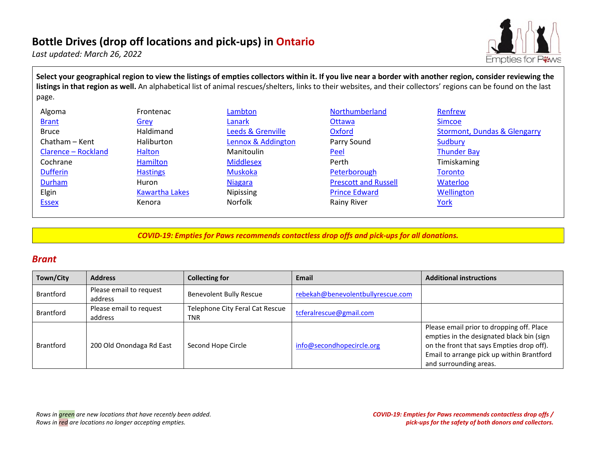# **Bottle Drives (drop off locations and pick-ups) in Ontario**

*Last updated: March 26, 2022* 



**Select your geographical region to view the listings of empties collectors within it. If you live near a border with another region, consider reviewing the listings in that region as well.** An alphabetical list of animal rescues/shelters, links to their websites, and their collectors' regions can be found on the last page.

| Algoma              | Frontenac             | Lambton            | Northumberland              | Renfrew                                 |
|---------------------|-----------------------|--------------------|-----------------------------|-----------------------------------------|
| <b>Brant</b>        | Grey                  | Lanark             | Ottawa                      | <b>Simcoe</b>                           |
| <b>Bruce</b>        | Haldimand             | Leeds & Grenville  | <b>Oxford</b>               | <b>Stormont, Dundas &amp; Glengarry</b> |
| Chatham - Kent      | <b>Haliburton</b>     | Lennox & Addington | Parry Sound                 | Sudbury                                 |
| Clarence - Rockland | Halton                | Manitoulin         | Peel                        | <b>Thunder Bay</b>                      |
| Cochrane            | Hamilton              | <b>Middlesex</b>   | Perth                       | Timiskaming                             |
| <b>Dufferin</b>     | <b>Hastings</b>       | Muskoka            | Peterborough                | <b>Toronto</b>                          |
| Durham              | Huron                 | <b>Niagara</b>     | <b>Prescott and Russell</b> | Waterloo                                |
| Elgin               | <b>Kawartha Lakes</b> | Nipissing          | <b>Prince Edward</b>        | Wellington                              |
| <b>Essex</b>        | Kenora                | Norfolk            | Rainy River                 | <u>York</u>                             |

*COVID-19: Empties for Paws recommends contactless drop offs and pick-ups for all donations.* 

#### <span id="page-0-0"></span>*Brant*

| Town/City        | <b>Address</b>                     | <b>Collecting for</b>                         | Email                             | <b>Additional instructions</b>                                                                                                                                                                             |
|------------------|------------------------------------|-----------------------------------------------|-----------------------------------|------------------------------------------------------------------------------------------------------------------------------------------------------------------------------------------------------------|
| <b>Brantford</b> | Please email to request<br>address | Benevolent Bully Rescue                       | rebekah@benevolentbullyrescue.com |                                                                                                                                                                                                            |
| <b>Brantford</b> | Please email to request<br>address | Telephone City Feral Cat Rescue<br><b>TNR</b> | tcferalrescue@gmail.com           |                                                                                                                                                                                                            |
| <b>Brantford</b> | 200 Old Onondaga Rd East           | Second Hope Circle                            | info@secondhopecircle.org         | Please email prior to dropping off. Place<br>empties in the designated black bin (sign<br>on the front that says Empties drop off).<br>Email to arrange pick up within Brantford<br>and surrounding areas. |

*Rows in green are new locations that have recently been added. Rows in red are locations no longer accepting empties.*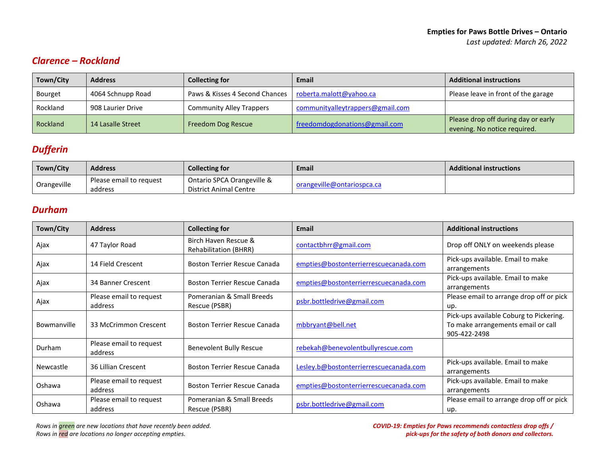## <span id="page-1-0"></span>*Clarence – Rockland*

| Town/City       | <b>Address</b>    | <b>Collecting for</b>           | Email                            | <b>Additional instructions</b>                                      |
|-----------------|-------------------|---------------------------------|----------------------------------|---------------------------------------------------------------------|
| <b>Bourget</b>  | 4064 Schnupp Road | Paws & Kisses 4 Second Chances  | roberta.malott@yahoo.ca          | Please leave in front of the garage                                 |
| Rockland        | 908 Laurier Drive | <b>Community Alley Trappers</b> | communityalleytrappers@gmail.com |                                                                     |
| <b>Rockland</b> | 14 Lasalle Street | <b>Freedom Dog Rescue</b>       | freedomdogdonations@gmail.com    | Please drop off during day or early<br>evening. No notice required. |

# <span id="page-1-1"></span>*Dufferin*

| Town/City   | <b>Address</b>          | Collecting for                | Email                     | <b>Additional instructions</b> |
|-------------|-------------------------|-------------------------------|---------------------------|--------------------------------|
|             | Please email to request | Ontario SPCA Orangeville &    |                           |                                |
| Orangeville | address                 | <b>District Animal Centre</b> | rangeville@ontariospca.ca |                                |

### <span id="page-1-2"></span>*Durham*

| Town/City     | <b>Address</b>                     | <b>Collecting for</b>                                | Email                                  | <b>Additional instructions</b>                                                                |
|---------------|------------------------------------|------------------------------------------------------|----------------------------------------|-----------------------------------------------------------------------------------------------|
| Ajax          | 47 Taylor Road                     | Birch Haven Rescue &<br><b>Rehabilitation (BHRR)</b> | contactbhrr@gmail.com                  | Drop off ONLY on weekends please                                                              |
| Ajax          | 14 Field Crescent                  | <b>Boston Terrier Rescue Canada</b>                  | empties@bostonterrierrescuecanada.com  | Pick-ups available. Email to make<br>arrangements                                             |
| Ajax          | 34 Banner Crescent                 | Boston Terrier Rescue Canada                         | empties@bostonterrierrescuecanada.com  | Pick-ups available. Email to make<br>arrangements                                             |
| Ajax          | Please email to request<br>address | Pomeranian & Small Breeds<br>Rescue (PSBR)           | psbr.bottledrive@gmail.com             | Please email to arrange drop off or pick<br>up.                                               |
| Bowmanville   | 33 McCrimmon Crescent              | Boston Terrier Rescue Canada                         | mbbryant@bell.net                      | Pick-ups available Coburg to Pickering.<br>To make arrangements email or call<br>905-422-2498 |
| <b>Durham</b> | Please email to request<br>address | <b>Benevolent Bully Rescue</b>                       | rebekah@benevolentbullyrescue.com      |                                                                                               |
| Newcastle     | 36 Lillian Crescent                | Boston Terrier Rescue Canada                         | Lesley.b@bostonterrierrescuecanada.com | Pick-ups available. Email to make<br>arrangements                                             |
| Oshawa        | Please email to request<br>address | <b>Boston Terrier Rescue Canada</b>                  | empties@bostonterrierrescuecanada.com  | Pick-ups available. Email to make<br>arrangements                                             |
| Oshawa        | Please email to request<br>address | Pomeranian & Small Breeds<br>Rescue (PSBR)           | psbr.bottledrive@gmail.com             | Please email to arrange drop off or pick<br>up.                                               |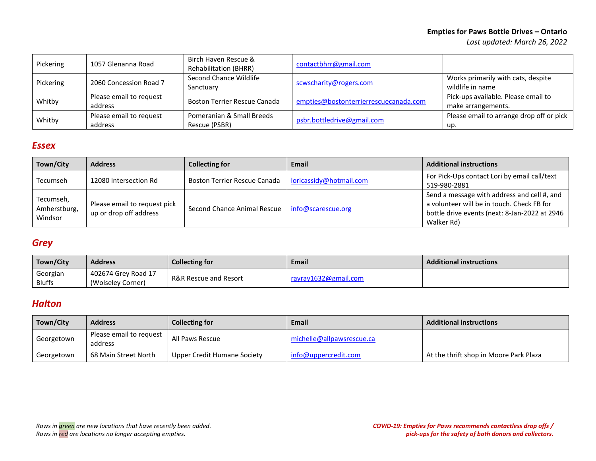#### **Empties for Paws Bottle Drives – Ontario**

*Last updated: March 26, 2022* 

| Pickering | 1057 Glenanna Road                 | Birch Haven Rescue &<br><b>Rehabilitation (BHRR)</b> | contactbhrr@gmail.com                 |                                                           |
|-----------|------------------------------------|------------------------------------------------------|---------------------------------------|-----------------------------------------------------------|
| Pickering | 2060 Concession Road 7             | Second Chance Wildlife<br>Sanctuary                  | scwscharity@rogers.com                | Works primarily with cats, despite<br>wildlife in name    |
| Whitby    | Please email to request<br>address | Boston Terrier Rescue Canada                         | empties@bostonterrierrescuecanada.com | Pick-ups available. Please email to<br>make arrangements. |
| Whitby    | Please email to request<br>address | Pomeranian & Small Breeds<br>Rescue (PSBR)           | psbr.bottledrive@gmail.com            | Please email to arrange drop off or pick<br>up.           |

#### <span id="page-2-0"></span>*Essex*

| Town/City                            | <b>Address</b>                                         | <b>Collecting for</b>                            | Email                   | <b>Additional instructions</b>                                                                                                                           |
|--------------------------------------|--------------------------------------------------------|--------------------------------------------------|-------------------------|----------------------------------------------------------------------------------------------------------------------------------------------------------|
| Tecumseh                             | 12080 Intersection Rd                                  | Boston Terrier Rescue Canada                     | loricassidy@hotmail.com | For Pick-Ups contact Lori by email call/text<br>519-980-2881                                                                                             |
| Tecumseh,<br>Amherstburg,<br>Windsor | Please email to request pick<br>up or drop off address | Second Chance Animal Rescue   info@scarescue.org |                         | Send a message with address and cell #, and<br>a volunteer will be in touch. Check FB for<br>bottle drive events (next: 8-Jan-2022 at 2946<br>Walker Rd) |

### <span id="page-2-1"></span>*Grey*

| Town/City     | <b>Address</b>      | <b>Collecting for</b>            | Email                | <b>Additional instructions</b> |
|---------------|---------------------|----------------------------------|----------------------|--------------------------------|
| Georgian      | 402674 Grey Road 17 | <b>R&amp;R Rescue and Resort</b> | rayray1632@gmail.com |                                |
| <b>Bluffs</b> | (Wolseley Corner)   |                                  |                      |                                |

### *Halton*

<span id="page-2-2"></span>

| Town/City  | <b>Address</b>                     | <b>Collecting for</b>       | <b>Email</b>              | <b>Additional instructions</b>         |
|------------|------------------------------------|-----------------------------|---------------------------|----------------------------------------|
| Georgetown | Please email to request<br>address | All Paws Rescue             | michelle@allpawsrescue.ca |                                        |
| Georgetown | 68 Main Street North               | Upper Credit Humane Society | info@uppercredit.com      | At the thrift shop in Moore Park Plaza |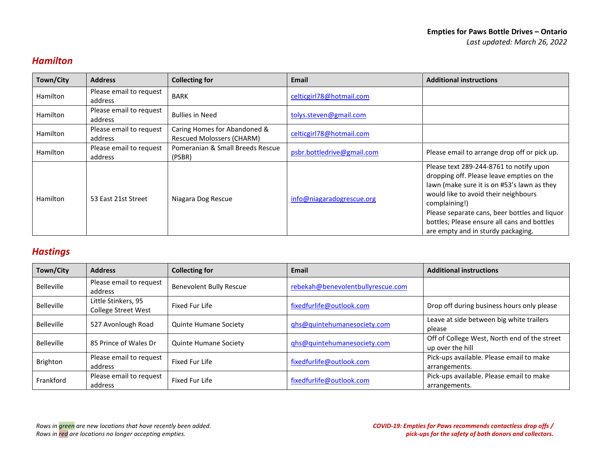## *[Hamilton](#page-2-2)*

| Town/City       | <b>Address</b>                     | <b>Collecting for</b>                                            | Email                      | <b>Additional instructions</b>                                                                                                                                                                                                                                                                                                     |
|-----------------|------------------------------------|------------------------------------------------------------------|----------------------------|------------------------------------------------------------------------------------------------------------------------------------------------------------------------------------------------------------------------------------------------------------------------------------------------------------------------------------|
| <b>Hamilton</b> | Please email to request<br>address | <b>BARK</b>                                                      | celticgirl78@hotmail.com   |                                                                                                                                                                                                                                                                                                                                    |
| <b>Hamilton</b> | Please email to request<br>address | <b>Bullies in Need</b>                                           | tolys.steven@gmail.com     |                                                                                                                                                                                                                                                                                                                                    |
| <b>Hamilton</b> | Please email to request<br>address | Caring Homes for Abandoned &<br><b>Rescued Molossers (CHARM)</b> | celticgirl78@hotmail.com   |                                                                                                                                                                                                                                                                                                                                    |
| <b>Hamilton</b> | Please email to request<br>address | Pomeranian & Small Breeds Rescue<br>(PSBR)                       | psbr.bottledrive@gmail.com | Please email to arrange drop off or pick up.                                                                                                                                                                                                                                                                                       |
| <b>Hamilton</b> | 53 East 21st Street                | Niagara Dog Rescue                                               | info@niagaradogrescue.org  | Please text 289-244-8761 to notify upon<br>dropping off. Please leave empties on the<br>lawn (make sure it is on #53's lawn as they<br>would like to avoid their neighbours<br>complaining!)<br>Please separate cans, beer bottles and liquor<br>bottles; Please ensure all cans and bottles<br>are empty and in sturdy packaging. |

### <span id="page-3-0"></span>*Hastings*

| Town/City         | <b>Address</b>                                    | <b>Collecting for</b>          | Email                             | <b>Additional instructions</b>                                   |
|-------------------|---------------------------------------------------|--------------------------------|-----------------------------------|------------------------------------------------------------------|
| <b>Belleville</b> | Please email to request<br>address                | <b>Benevolent Bully Rescue</b> | rebekah@benevolentbullyrescue.com |                                                                  |
| <b>Belleville</b> | Little Stinkers, 95<br><b>College Street West</b> | Fixed Fur Life                 | fixedfurlife@outlook.com          | Drop off during business hours only please                       |
| <b>Belleville</b> | 527 Avonlough Road                                | <b>Quinte Humane Society</b>   | ghs@quintehumanesociety.com       | Leave at side between big white trailers<br>please               |
| <b>Belleville</b> | 85 Prince of Wales Dr                             | Quinte Humane Society          | qhs@quintehumanesociety.com       | Off of College West, North end of the street<br>up over the hill |
| <b>Brighton</b>   | Please email to request<br>address                | Fixed Fur Life                 | fixedfurlife@outlook.com          | Pick-ups available. Please email to make<br>arrangements.        |
| Frankford         | Please email to request<br>address                | Fixed Fur Life                 | fixedfurlife@outlook.com          | Pick-ups available. Please email to make<br>arrangements.        |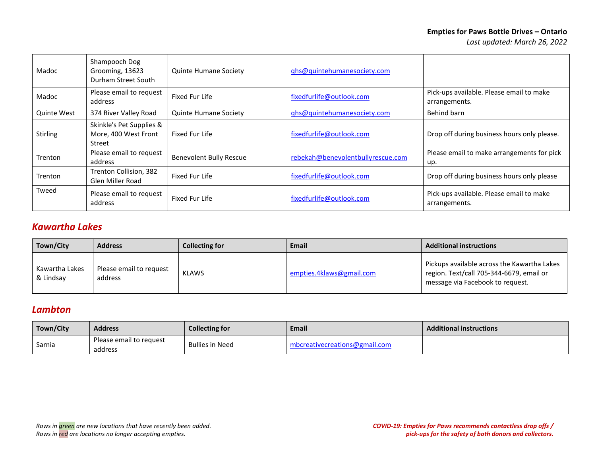| Madoc           | Shampooch Dog<br>Grooming, 13623<br>Durham Street South    | <b>Quinte Humane Society</b>   | qhs@quintehumanesociety.com       |                                                           |
|-----------------|------------------------------------------------------------|--------------------------------|-----------------------------------|-----------------------------------------------------------|
| Madoc           | Please email to request<br>address                         | Fixed Fur Life                 | fixedfurlife@outlook.com          | Pick-ups available. Please email to make<br>arrangements. |
| Quinte West     | 374 River Valley Road                                      | <b>Quinte Humane Society</b>   | ghs@quintehumanesociety.com       | Behind barn                                               |
| <b>Stirling</b> | Skinkle's Pet Supplies &<br>More, 400 West Front<br>Street | Fixed Fur Life                 | fixedfurlife@outlook.com          | Drop off during business hours only please.               |
| Trenton         | Please email to request<br>address                         | <b>Benevolent Bully Rescue</b> | rebekah@benevolentbullyrescue.com | Please email to make arrangements for pick<br>up.         |
| Trenton         | Trenton Collision, 382<br><b>Glen Miller Road</b>          | Fixed Fur Life                 | fixedfurlife@outlook.com          | Drop off during business hours only please                |
| Tweed           | Please email to request<br>address                         | Fixed Fur Life                 | fixedfurlife@outlook.com          | Pick-ups available. Please email to make<br>arrangements. |

## <span id="page-4-0"></span>*Kawartha Lakes*

| Town/City                   | <b>Address</b>                     | <b>Collecting for</b> | Email                    | <b>Additional instructions</b>                                                                                              |
|-----------------------------|------------------------------------|-----------------------|--------------------------|-----------------------------------------------------------------------------------------------------------------------------|
| Kawartha Lakes<br>& Lindsav | Please email to request<br>address | KLAWS                 | empties.4klaws@gmail.com | Pickups available across the Kawartha Lakes<br>region. Text/call 705-344-6679, email or<br>message via Facebook to request. |

### <span id="page-4-1"></span>*Lambton*

<span id="page-4-2"></span>

| Town/City | <b>Address</b>                     | <b>Collecting for</b>  | <b>Email</b>                  | <b>Additional instructions</b> |
|-----------|------------------------------------|------------------------|-------------------------------|--------------------------------|
| Sarnia    | Please email to request<br>address | <b>Bullies in Need</b> | mbcreativecreations@gmail.com |                                |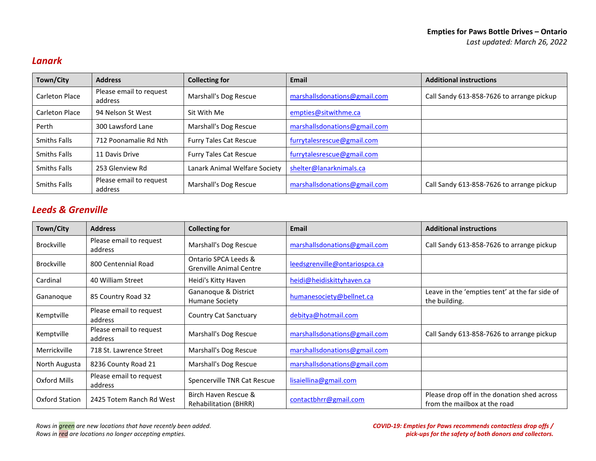## *Lanark*

| Town/City             | <b>Address</b>                     | <b>Collecting for</b>         | Email                        | <b>Additional instructions</b>            |
|-----------------------|------------------------------------|-------------------------------|------------------------------|-------------------------------------------|
| <b>Carleton Place</b> | Please email to request<br>address | Marshall's Dog Rescue         | marshallsdonations@gmail.com | Call Sandy 613-858-7626 to arrange pickup |
| <b>Carleton Place</b> | 94 Nelson St West                  | Sit With Me                   | empties@sitwithme.ca         |                                           |
| Perth                 | 300 Lawsford Lane                  | Marshall's Dog Rescue         | marshallsdonations@gmail.com |                                           |
| <b>Smiths Falls</b>   | 712 Poonamalie Rd Nth              | <b>Furry Tales Cat Rescue</b> | furrytalesrescue@gmail.com   |                                           |
| <b>Smiths Falls</b>   | 11 Davis Drive                     | <b>Furry Tales Cat Rescue</b> | furrytalesrescue@gmail.com   |                                           |
| <b>Smiths Falls</b>   | 253 Glenview Rd                    | Lanark Animal Welfare Society | shelter@lanarknimals.ca      |                                           |
| <b>Smiths Falls</b>   | Please email to request<br>address | Marshall's Dog Rescue         | marshallsdonations@gmail.com | Call Sandy 613-858-7626 to arrange pickup |

## *Leeds & Grenville*

| Town/City         | <b>Address</b>                     | <b>Collecting for</b>                                  | <b>Email</b>                  | <b>Additional instructions</b>                                              |
|-------------------|------------------------------------|--------------------------------------------------------|-------------------------------|-----------------------------------------------------------------------------|
| <b>Brockville</b> | Please email to request<br>address | Marshall's Dog Rescue                                  | marshallsdonations@gmail.com  | Call Sandy 613-858-7626 to arrange pickup                                   |
| <b>Brockville</b> | 800 Centennial Road                | Ontario SPCA Leeds &<br><b>Grenville Animal Centre</b> | leedsgrenville@ontariospca.ca |                                                                             |
| Cardinal          | 40 William Street                  | Heidi's Kitty Haven                                    | heidi@heidiskittyhaven.ca     |                                                                             |
| Gananoque         | 85 Country Road 32                 | Gananoque & District<br>Humane Society                 | humanesociety@bellnet.ca      | Leave in the 'empties tent' at the far side of<br>the building.             |
| Kemptville        | Please email to request<br>address | Country Cat Sanctuary                                  | debitya@hotmail.com           |                                                                             |
| Kemptville        | Please email to request<br>address | Marshall's Dog Rescue                                  | marshallsdonations@gmail.com  | Call Sandy 613-858-7626 to arrange pickup                                   |
| Merrickville      | 718 St. Lawrence Street            | Marshall's Dog Rescue                                  | marshallsdonations@gmail.com  |                                                                             |
| North Augusta     | 8236 County Road 21                | Marshall's Dog Rescue                                  | marshallsdonations@gmail.com  |                                                                             |
| Oxford Mills      | Please email to request<br>address | Spencerville TNR Cat Rescue                            | lisaiellina@gmail.com         |                                                                             |
| Oxford Station    | 2425 Totem Ranch Rd West           | Birch Haven Rescue &<br><b>Rehabilitation (BHRR)</b>   | contactbhrr@gmail.com         | Please drop off in the donation shed across<br>from the mailbox at the road |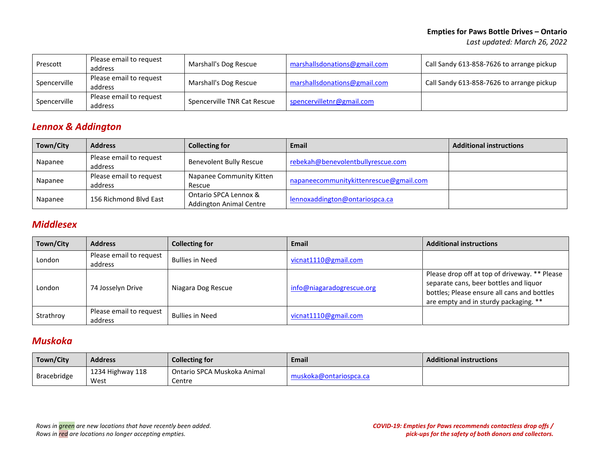| Prescott     | Please email to request<br>address | Marshall's Dog Rescue       | marshallsdonations@gmail.com | Call Sandy 613-858-7626 to arrange pickup |
|--------------|------------------------------------|-----------------------------|------------------------------|-------------------------------------------|
| Spencerville | Please email to request<br>address | Marshall's Dog Rescue       | marshallsdonations@gmail.com | Call Sandy 613-858-7626 to arrange pickup |
| Spencerville | Please email to request<br>address | Spencerville TNR Cat Rescue | spencervilletnr@gmail.com    |                                           |

### <span id="page-6-0"></span>*Lennox & Addington*

| Town/City | <b>Address</b>                     | <b>Collecting for</b>                                   | Email                                  | <b>Additional instructions</b> |
|-----------|------------------------------------|---------------------------------------------------------|----------------------------------------|--------------------------------|
| Napanee   | Please email to request<br>address | Benevolent Bully Rescue                                 | rebekah@benevolentbullyrescue.com      |                                |
| Napanee   | Please email to request<br>address | Napanee Community Kitten<br>Rescue                      | napaneecommunitykittenrescue@gmail.com |                                |
| Napanee   | 156 Richmond Blyd East             | Ontario SPCA Lennox &<br><b>Addington Animal Centre</b> | lennoxaddington@ontariospca.ca         |                                |

## <span id="page-6-1"></span>*Middlesex*

| Town/City | <b>Address</b>                     | <b>Collecting for</b>  | <b>Email</b>              | <b>Additional instructions</b>                                                                                                                                                  |
|-----------|------------------------------------|------------------------|---------------------------|---------------------------------------------------------------------------------------------------------------------------------------------------------------------------------|
| London    | Please email to request<br>address | <b>Bullies in Need</b> | vicnat1110@gmail.com      |                                                                                                                                                                                 |
| London    | 74 Josselyn Drive                  | Niagara Dog Rescue     | info@niagaradogrescue.org | Please drop off at top of driveway. ** Please<br>separate cans, beer bottles and liquor<br>bottles; Please ensure all cans and bottles<br>are empty and in sturdy packaging. ** |
| Strathroy | Please email to request<br>address | <b>Bullies in Need</b> | vicnat1110@gmail.com      |                                                                                                                                                                                 |

### <span id="page-6-2"></span>*Muskoka*

| Town/City   | <b>Address</b>   | <b>Collecting for</b>       | <b>Email</b>           | <b>Additional instructions</b> |
|-------------|------------------|-----------------------------|------------------------|--------------------------------|
|             | 1234 Highway 118 | Ontario SPCA Muskoka Animal |                        |                                |
| Bracebridge | West             | Centre                      | muskoka@ontariospca.ca |                                |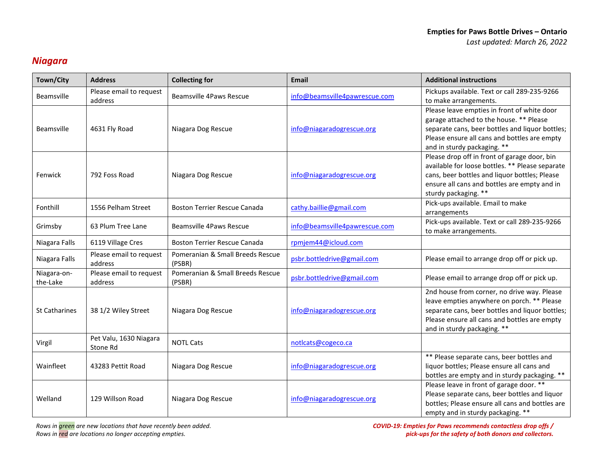# <span id="page-7-0"></span>*Niagara*

| Town/City               | <b>Address</b>                     | <b>Collecting for</b>                      | <b>Email</b>                  | <b>Additional instructions</b>                                                                                                                                                                                              |
|-------------------------|------------------------------------|--------------------------------------------|-------------------------------|-----------------------------------------------------------------------------------------------------------------------------------------------------------------------------------------------------------------------------|
| <b>Beamsville</b>       | Please email to request<br>address | <b>Beamsville 4Paws Rescue</b>             | info@beamsville4pawrescue.com | Pickups available. Text or call 289-235-9266<br>to make arrangements.                                                                                                                                                       |
| Beamsville              | 4631 Fly Road                      | Niagara Dog Rescue                         | info@niagaradogrescue.org     | Please leave empties in front of white door<br>garage attached to the house. ** Please<br>separate cans, beer bottles and liquor bottles;<br>Please ensure all cans and bottles are empty<br>and in sturdy packaging. **    |
| Fenwick                 | 792 Foss Road                      | Niagara Dog Rescue                         | info@niagaradogrescue.org     | Please drop off in front of garage door, bin<br>available for loose bottles. ** Please separate<br>cans, beer bottles and liquor bottles; Please<br>ensure all cans and bottles are empty and in<br>sturdy packaging. **    |
| Fonthill                | 1556 Pelham Street                 | Boston Terrier Rescue Canada               | cathy.baillie@gmail.com       | Pick-ups available. Email to make<br>arrangements                                                                                                                                                                           |
| Grimsby                 | 63 Plum Tree Lane                  | <b>Beamsville 4Paws Rescue</b>             | info@beamsville4pawrescue.com | Pick-ups available. Text or call 289-235-9266<br>to make arrangements.                                                                                                                                                      |
| Niagara Falls           | 6119 Village Cres                  | <b>Boston Terrier Rescue Canada</b>        | rpmjem44@icloud.com           |                                                                                                                                                                                                                             |
| Niagara Falls           | Please email to request<br>address | Pomeranian & Small Breeds Rescue<br>(PSBR) | psbr.bottledrive@gmail.com    | Please email to arrange drop off or pick up.                                                                                                                                                                                |
| Niagara-on-<br>the-Lake | Please email to request<br>address | Pomeranian & Small Breeds Rescue<br>(PSBR) | psbr.bottledrive@gmail.com    | Please email to arrange drop off or pick up.                                                                                                                                                                                |
| <b>St Catharines</b>    | 38 1/2 Wiley Street                | Niagara Dog Rescue                         | info@niagaradogrescue.org     | 2nd house from corner, no drive way. Please<br>leave empties anywhere on porch. ** Please<br>separate cans, beer bottles and liquor bottles;<br>Please ensure all cans and bottles are empty<br>and in sturdy packaging. ** |
| Virgil                  | Pet Valu, 1630 Niagara<br>Stone Rd | <b>NOTL Cats</b>                           | noticats@cogeco.ca            |                                                                                                                                                                                                                             |
| Wainfleet               | 43283 Pettit Road                  | Niagara Dog Rescue                         | info@niagaradogrescue.org     | ** Please separate cans, beer bottles and<br>liquor bottles; Please ensure all cans and<br>bottles are empty and in sturdy packaging. **                                                                                    |
| Welland                 | 129 Willson Road                   | Niagara Dog Rescue                         | info@niagaradogrescue.org     | Please leave in front of garage door. **<br>Please separate cans, beer bottles and liquor<br>bottles; Please ensure all cans and bottles are<br>empty and in sturdy packaging. **                                           |

*Rows in green are new locations that have recently been added. Rows in red are locations no longer accepting empties.*

*COVID-19: Empties for Paws recommends contactless drop offs / pick-ups for the safety of both donors and collectors.*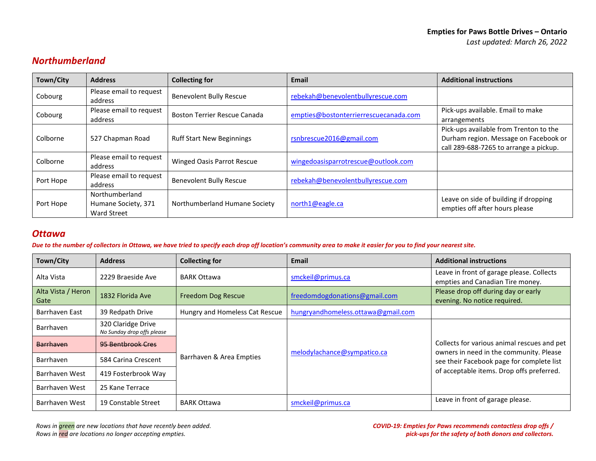## <span id="page-8-0"></span>*Northumberland*

| Town/City | <b>Address</b>                                       | <b>Collecting for</b>               | <b>Email</b>                          | <b>Additional instructions</b>                                                                                            |
|-----------|------------------------------------------------------|-------------------------------------|---------------------------------------|---------------------------------------------------------------------------------------------------------------------------|
| Cobourg   | Please email to request<br>address                   | <b>Benevolent Bully Rescue</b>      | rebekah@benevolentbullyrescue.com     |                                                                                                                           |
| Cobourg   | Please email to request<br>address                   | <b>Boston Terrier Rescue Canada</b> | empties@bostonterrierrescuecanada.com | Pick-ups available. Email to make<br>arrangements                                                                         |
| Colborne  | 527 Chapman Road                                     | <b>Ruff Start New Beginnings</b>    | rsnbrescue2016@gmail.com              | Pick-ups available from Trenton to the<br>Durham region. Message on Facebook or<br>call 289-688-7265 to arrange a pickup. |
| Colborne  | Please email to request<br>address                   | <b>Winged Oasis Parrot Rescue</b>   | wingedoasisparrotrescue@outlook.com   |                                                                                                                           |
| Port Hope | Please email to request<br>address                   | <b>Benevolent Bully Rescue</b>      | rebekah@benevolentbullyrescue.com     |                                                                                                                           |
| Port Hope | Northumberland<br>Humane Society, 371<br>Ward Street | Northumberland Humane Society       | north1@eagle.ca                       | Leave on side of building if dropping<br>empties off after hours please                                                   |

#### <span id="page-8-1"></span>*Ottawa*

*Due to the number of collectors in Ottawa, we have tried to specify each drop off location's community area to make it easier for you to find your nearest site.* 

| Town/City          | <b>Address</b>             | <b>Collecting for</b>          | Email                              | <b>Additional instructions</b>                                                         |
|--------------------|----------------------------|--------------------------------|------------------------------------|----------------------------------------------------------------------------------------|
| Alta Vista         | 2229 Braeside Ave          | <b>BARK Ottawa</b>             | smckeil@primus.ca                  | Leave in front of garage please. Collects                                              |
|                    |                            |                                |                                    | empties and Canadian Tire money.                                                       |
| Alta Vista / Heron | 1832 Florida Ave           | Freedom Dog Rescue             | freedomdogdonations@gmail.com      | Please drop off during day or early                                                    |
| Gate               |                            |                                |                                    | evening. No notice required.                                                           |
| Barrhaven East     | 39 Redpath Drive           | Hungry and Homeless Cat Rescue | hungryandhomeless.ottawa@gmail.com |                                                                                        |
| Barrhaven          | 320 Claridge Drive         |                                |                                    |                                                                                        |
|                    | No Sunday drop offs please |                                |                                    |                                                                                        |
| <b>Barrhaven</b>   | 95 Bentbrook Cres          |                                |                                    | Collects for various animal rescues and pet<br>owners in need in the community. Please |
| Barrhaven          | 584 Carina Crescent        | Barrhaven & Area Empties       | melodylachance@sympatico.ca        | see their Facebook page for complete list                                              |
| Barrhaven West     | 419 Fosterbrook Way        |                                |                                    | of acceptable items. Drop offs preferred.                                              |
| Barrhaven West     | 25 Kane Terrace            |                                |                                    |                                                                                        |
| Barrhaven West     | 19 Constable Street        | <b>BARK Ottawa</b>             | smckeil@primus.ca                  | Leave in front of garage please.                                                       |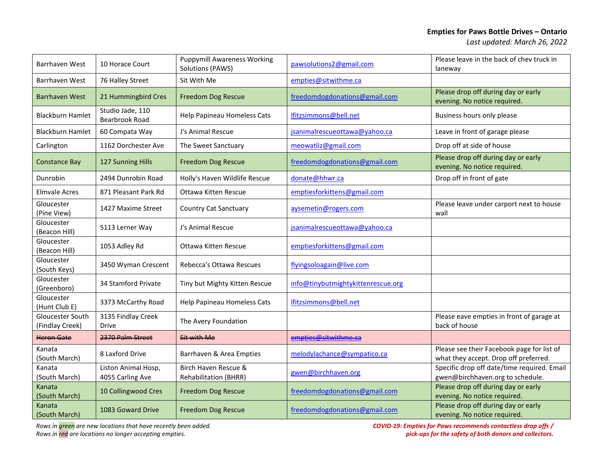| <b>Barrhaven West</b>               | 10 Horace Court                           | <b>Puppymill Awareness Working</b><br>Solutions (PAWS) | pawsolutions2@gmail.com            | Please leave in the back of chev truck in<br>laneway                                |
|-------------------------------------|-------------------------------------------|--------------------------------------------------------|------------------------------------|-------------------------------------------------------------------------------------|
| <b>Barrhaven West</b>               | 76 Halley Street                          | Sit With Me                                            | empties@sitwithme.ca               |                                                                                     |
| <b>Barrhaven West</b>               | 21 Hummingbird Cres                       | <b>Freedom Dog Rescue</b>                              | freedomdogdonations@gmail.com      | Please drop off during day or early<br>evening. No notice required.                 |
| <b>Blackburn Hamlet</b>             | Studio Jade, 110<br><b>Bearbrook Road</b> | Help Papineau Homeless Cats                            | lfitzsimmons@bell.net              | Business hours only please                                                          |
| <b>Blackburn Hamlet</b>             | 60 Compata Way                            | J's Animal Rescue                                      | jsanimalrescueottawa@yahoo.ca      | Leave in front of garage please                                                     |
| Carlington                          | 1162 Dorchester Ave                       | The Sweet Sanctuary                                    | meowatliz@gmail.com                | Drop off at side of house                                                           |
| <b>Constance Bay</b>                | 127 Sunning Hills                         | <b>Freedom Dog Rescue</b>                              | freedomdogdonations@gmail.com      | Please drop off during day or early<br>evening. No notice required.                 |
| Dunrobin                            | 2494 Dunrobin Road                        | Holly's Haven Wildlife Rescue                          | donate@hhwr.ca                     | Drop off in front of gate                                                           |
| <b>Elmvale Acres</b>                | 871 Pleasant Park Rd                      | Ottawa Kitten Rescue                                   | emptiesforkittens@gmail.com        |                                                                                     |
| Gloucester<br>(Pine View)           | 1427 Maxime Street                        | <b>Country Cat Sanctuary</b>                           | aysemetin@rogers.com               | Please leave under carport next to house<br>wall                                    |
| Gloucester<br>(Beacon Hill)         | 5113 Lerner Way                           | J's Animal Rescue                                      | jsanimalrescueottawa@yahoo.ca      |                                                                                     |
| Gloucester<br>(Beacon Hill)         | 1053 Adley Rd                             | Ottawa Kitten Rescue                                   | emptiesforkittens@gmail.com        |                                                                                     |
| Gloucester<br>(South Keys)          | 3450 Wyman Crescent                       | Rebecca's Ottawa Rescues                               | flyingsoloagain@live.com           |                                                                                     |
| Gloucester<br>(Greenboro)           | 34 Stamford Private                       | Tiny but Mighty Kitten Rescue                          | info@tinybutmightykittenrescue.org |                                                                                     |
| Gloucester<br>(Hunt Club E)         | 3373 McCarthy Road                        | Help Papineau Homeless Cats                            | lfitzsimmons@bell.net              |                                                                                     |
| Gloucester South<br>(Findlay Creek) | 3135 Findlay Creek<br>Drive               | The Avery Foundation                                   |                                    | Please eave empties in front of garage at<br>back of house                          |
| <b>Heron Gate</b>                   | 2370 Palm Street                          | Sit with Me                                            | empties@sitwithme.ca               |                                                                                     |
| Kanata<br>(South March)             | 8 Laxford Drive                           | Barrhaven & Area Empties                               | melodylachance@sympatico.ca        | Please see their Facebook page for list of<br>what they accept. Drop off preferred. |
| Kanata<br>(South March)             | Liston Animal Hosp,<br>4055 Carling Ave   | Birch Haven Rescue &<br><b>Rehabilitation (BHRR)</b>   | gwen@birchhaven.org                | Specific drop off date/time required. Email<br>gwen@birchhaven.org to schedule.     |
| Kanata<br>(South March)             | 10 Collingwood Cres                       | <b>Freedom Dog Rescue</b>                              | freedomdogdonations@gmail.com      | Please drop off during day or early<br>evening. No notice required.                 |
| Kanata<br>(South March)             | 1083 Goward Drive                         | <b>Freedom Dog Rescue</b>                              | freedomdogdonations@gmail.com      | Please drop off during day or early<br>evening. No notice required.                 |

*Rows in green are new locations that have recently been added.* 

*Rows in red are locations no longer accepting empties.*

*COVID-19: Empties for Paws recommends contactless drop offs / pick-ups for the safety of both donors and collectors.*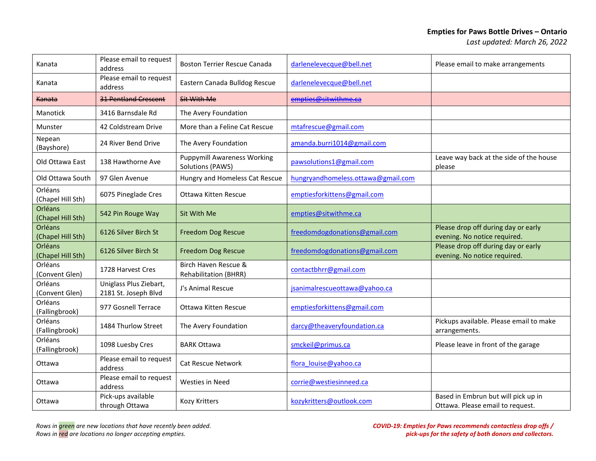| Kanata                       | Please email to request<br>address             | <b>Boston Terrier Rescue Canada</b>                    | darlenelevecque@bell.net           | Please email to make arrangements                                       |
|------------------------------|------------------------------------------------|--------------------------------------------------------|------------------------------------|-------------------------------------------------------------------------|
| Kanata                       | Please email to request<br>address             | Eastern Canada Bulldog Rescue                          | darlenelevecque@bell.net           |                                                                         |
| Kanata                       | <b>31 Pentland Crescent</b>                    | <b>Sit With Me</b>                                     | empties@sitwithme.ca               |                                                                         |
| <b>Manotick</b>              | 3416 Barnsdale Rd                              | The Avery Foundation                                   |                                    |                                                                         |
| Munster                      | 42 Coldstream Drive                            | More than a Feline Cat Rescue                          | mtafrescue@gmail.com               |                                                                         |
| Nepean<br>(Bayshore)         | 24 River Bend Drive                            | The Avery Foundation                                   | amanda.burri1014@gmail.com         |                                                                         |
| Old Ottawa East              | 138 Hawthorne Ave                              | <b>Puppymill Awareness Working</b><br>Solutions (PAWS) | pawsolutions1@gmail.com            | Leave way back at the side of the house<br>please                       |
| Old Ottawa South             | 97 Glen Avenue                                 | Hungry and Homeless Cat Rescue                         | hungryandhomeless.ottawa@gmail.com |                                                                         |
| Orléans<br>(Chapel Hill Sth) | 6075 Pineglade Cres                            | Ottawa Kitten Rescue                                   | emptiesforkittens@gmail.com        |                                                                         |
| Orléans<br>(Chapel Hill Sth) | 542 Pin Rouge Way                              | Sit With Me                                            | empties@sitwithme.ca               |                                                                         |
| Orléans<br>(Chapel Hill Sth) | 6126 Silver Birch St                           | <b>Freedom Dog Rescue</b>                              | freedomdogdonations@gmail.com      | Please drop off during day or early<br>evening. No notice required.     |
| Orléans<br>(Chapel Hill Sth) | 6126 Silver Birch St                           | <b>Freedom Dog Rescue</b>                              | freedomdogdonations@gmail.com      | Please drop off during day or early<br>evening. No notice required.     |
| Orléans<br>(Convent Glen)    | 1728 Harvest Cres                              | Birch Haven Rescue &<br>Rehabilitation (BHRR)          | contactbhrr@gmail.com              |                                                                         |
| Orléans<br>(Convent Glen)    | Uniglass Plus Ziebart,<br>2181 St. Joseph Blvd | J's Animal Rescue                                      | jsanimalrescueottawa@yahoo.ca      |                                                                         |
| Orléans<br>(Fallingbrook)    | 977 Gosnell Terrace                            | Ottawa Kitten Rescue                                   | emptiesforkittens@gmail.com        |                                                                         |
| Orléans<br>(Fallingbrook)    | 1484 Thurlow Street                            | The Avery Foundation                                   | darcy@theaveryfoundation.ca        | Pickups available. Please email to make<br>arrangements.                |
| Orléans<br>(Fallingbrook)    | 1098 Luesby Cres                               | <b>BARK Ottawa</b>                                     | smckeil@primus.ca                  | Please leave in front of the garage                                     |
| Ottawa                       | Please email to request<br>address             | <b>Cat Rescue Network</b>                              | flora louise@yahoo.ca              |                                                                         |
| Ottawa                       | Please email to request<br>address             | <b>Westies in Need</b>                                 | corrie@westiesinneed.ca            |                                                                         |
| Ottawa                       | Pick-ups available<br>through Ottawa           | Kozy Kritters                                          | kozykritters@outlook.com           | Based in Embrun but will pick up in<br>Ottawa. Please email to request. |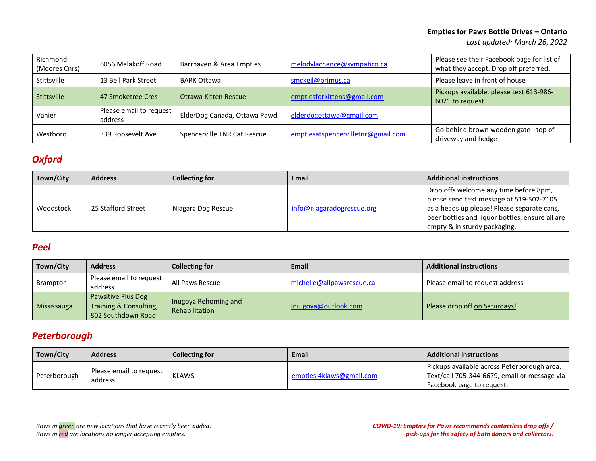| Richmond<br>(Moores Cnrs) | 6056 Malakoff Road                 | Barrhaven & Area Empties     | melodylachance@sympatico.ca        | Please see their Facebook page for list of<br>what they accept. Drop off preferred. |
|---------------------------|------------------------------------|------------------------------|------------------------------------|-------------------------------------------------------------------------------------|
| Stittsville               | 13 Bell Park Street                | <b>BARK Ottawa</b>           | smckeil@primus.ca                  | Please leave in front of house                                                      |
| Stittsville               | 47 Smoketree Cres                  | Ottawa Kitten Rescue         | emptiesforkittens@gmail.com        | Pickups available, please text 613-986-<br>6021 to request.                         |
| Vanier                    | Please email to request<br>address | ElderDog Canada, Ottawa Pawd | elderdogottawa@gmail.com           |                                                                                     |
| Westboro                  | 339 Roosevelt Ave                  | Spencerville TNR Cat Rescue  | emptiesatspencervilletnr@gmail.com | Go behind brown wooden gate - top of<br>driveway and hedge                          |

## <span id="page-11-0"></span>*Oxford*

| Town/City | <b>Address</b>     | <b>Collecting for</b> | <b>Email</b>              | <b>Additional instructions</b>                                                                                                                                                                                       |
|-----------|--------------------|-----------------------|---------------------------|----------------------------------------------------------------------------------------------------------------------------------------------------------------------------------------------------------------------|
| Woodstock | 25 Stafford Street | Niagara Dog Rescue    | info@niagaradogrescue.org | Drop offs welcome any time before 8pm,<br>please send text message at 519-502-7105<br>as a heads up please! Please separate cans,<br>beer bottles and liquor bottles, ensure all are<br>empty & in sturdy packaging. |

### <span id="page-11-1"></span>*Peel*

| Town/City   | <b>Address</b>                                                     | <b>Collecting for</b>                  | <b>Email</b>              | <b>Additional instructions</b>  |
|-------------|--------------------------------------------------------------------|----------------------------------------|---------------------------|---------------------------------|
| Brampton    | Please email to request<br>address                                 | All Paws Rescue                        | michelle@allpawsrescue.ca | Please email to request address |
| Mississauga | Pawsitive Plus Dog<br>Training & Consulting,<br>802 Southdown Road | Inugoya Rehoming and<br>Rehabilitation | Inu.goya@outlook.com      | Please drop off on Saturdays!   |

### <span id="page-11-2"></span>*Peterborough*

| Town/City    | <b>Address</b>                     | <b>Collecting for</b> | Email                    | <b>Additional instructions</b>                                                                                           |
|--------------|------------------------------------|-----------------------|--------------------------|--------------------------------------------------------------------------------------------------------------------------|
| Peterborough | Please email to request<br>address | <b>KLAWS</b>          | empties.4klaws@gmail.com | Pickups available across Peterborough area.<br>Text/call 705-344-6679, email or message via<br>Facebook page to request. |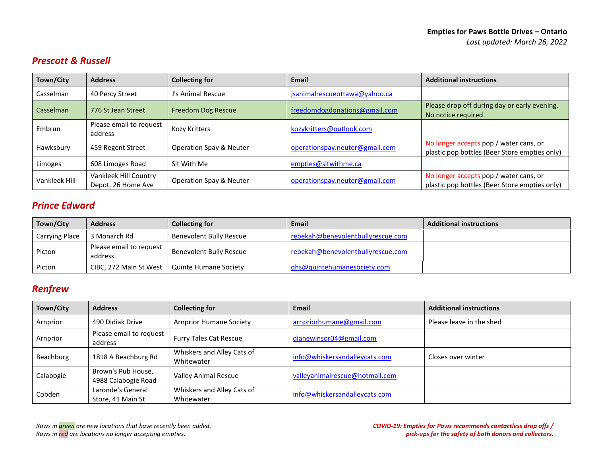## <span id="page-12-0"></span>*Prescott & Russell*

| Town/City     | <b>Address</b>                              | <b>Collecting for</b>   | <b>Email</b>                   | <b>Additional instructions</b>                                                          |
|---------------|---------------------------------------------|-------------------------|--------------------------------|-----------------------------------------------------------------------------------------|
| Casselman     | 40 Percy Street                             | J's Animal Rescue       | jsanimalrescueottawa@yahoo.ca  |                                                                                         |
| Casselman     | 776 St Jean Street                          | Freedom Dog Rescue      | freedomdogdonations@gmail.com  | Please drop off during day or early evening.<br>No notice required.                     |
| Embrun        | Please email to request<br>address          | Kozy Kritters           | kozykritters@outlook.com       |                                                                                         |
| Hawksbury     | 459 Regent Street                           | Operation Spay & Neuter | operationspay.neuter@gmail.com | No longer accepts pop / water cans, or<br>plastic pop bottles (Beer Store empties only) |
| Limoges       | 608 Limoges Road                            | Sit With Me             | empties@sitwithme.ca           |                                                                                         |
| Vankleek Hill | Vankleek Hill Country<br>Depot, 26 Home Ave | Operation Spay & Neuter | operationspay.neuter@gmail.com | No longer accepts pop / water cans, or<br>plastic pop bottles (Beer Store empties only) |

## <span id="page-12-1"></span>*Prince Edward*

| Town/City      | <b>Address</b>                     | <b>Collecting for</b>   | Email                             | <b>Additional instructions</b> |
|----------------|------------------------------------|-------------------------|-----------------------------------|--------------------------------|
| Carrying Place | 3 Monarch Rd                       | Benevolent Bully Rescue | rebekah@benevolentbullyrescue.com |                                |
| Picton         | Please email to request<br>address | Benevolent Bully Rescue | rebekah@benevolentbullyrescue.com |                                |
| Picton         | CIBC, 272 Main St West             | Quinte Humane Society   | qhs@quintehumanesociety.com       |                                |

## <span id="page-12-2"></span>*Renfrew*

| Town/City | <b>Address</b>                            | <b>Collecting for</b>                    | Email                          | <b>Additional instructions</b> |
|-----------|-------------------------------------------|------------------------------------------|--------------------------------|--------------------------------|
| Arnprior  | 490 Didiak Drive                          | <b>Arnprior Humane Society</b>           | arnpriorhumane@gmail.com       | Please leave in the shed       |
| Arnprior  | Please email to request<br>address        | <b>Furry Tales Cat Rescue</b>            | dianewinsor04@gmail.com        |                                |
| Beachburg | 1818 A Beachburg Rd                       | Whiskers and Alley Cats of<br>Whitewater | info@whiskersandalleycats.com  | Closes over winter             |
| Calabogie | Brown's Pub House,<br>4988 Calabogie Road | <b>Valley Animal Rescue</b>              | valleyanimalrescue@hotmail.com |                                |
| Cobden    | Laronde's General<br>Store, 41 Main St    | Whiskers and Alley Cats of<br>Whitewater | info@whiskersandalleycats.com  |                                |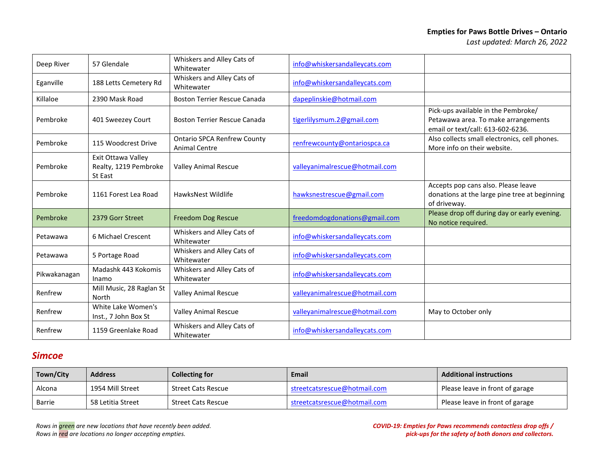#### **Empties for Paws Bottle Drives – Ontario**

| Deep River   | 57 Glendale                                            | Whiskers and Alley Cats of<br>Whitewater                   | info@whiskersandalleycats.com  |                                                                                                                 |
|--------------|--------------------------------------------------------|------------------------------------------------------------|--------------------------------|-----------------------------------------------------------------------------------------------------------------|
| Eganville    | 188 Letts Cemetery Rd                                  | Whiskers and Alley Cats of<br>Whitewater                   | info@whiskersandalleycats.com  |                                                                                                                 |
| Killaloe     | 2390 Mask Road                                         | <b>Boston Terrier Rescue Canada</b>                        | dapeplinskie@hotmail.com       |                                                                                                                 |
| Pembroke     | 401 Sweezey Court                                      | <b>Boston Terrier Rescue Canada</b>                        | tigerlilysmum.2@gmail.com      | Pick-ups available in the Pembroke/<br>Petawawa area. To make arrangements<br>email or text/call: 613-602-6236. |
| Pembroke     | 115 Woodcrest Drive                                    | <b>Ontario SPCA Renfrew County</b><br><b>Animal Centre</b> | renfrewcounty@ontariospca.ca   | Also collects small electronics, cell phones.<br>More info on their website.                                    |
| Pembroke     | Exit Ottawa Valley<br>Realty, 1219 Pembroke<br>St East | <b>Valley Animal Rescue</b>                                | valleyanimalrescue@hotmail.com |                                                                                                                 |
| Pembroke     | 1161 Forest Lea Road                                   | HawksNest Wildlife                                         | hawksnestrescue@gmail.com      | Accepts pop cans also. Please leave<br>donations at the large pine tree at beginning<br>of driveway.            |
| Pembroke     | 2379 Gorr Street                                       | <b>Freedom Dog Rescue</b>                                  | freedomdogdonations@gmail.com  | Please drop off during day or early evening.<br>No notice required.                                             |
| Petawawa     | 6 Michael Crescent                                     | Whiskers and Alley Cats of<br>Whitewater                   | info@whiskersandalleycats.com  |                                                                                                                 |
| Petawawa     | 5 Portage Road                                         | Whiskers and Alley Cats of<br>Whitewater                   | info@whiskersandalleycats.com  |                                                                                                                 |
| Pikwakanagan | Madashk 443 Kokomis<br>Inamo                           | Whiskers and Alley Cats of<br>Whitewater                   | info@whiskersandalleycats.com  |                                                                                                                 |
| Renfrew      | Mill Music, 28 Raglan St<br>North                      | <b>Valley Animal Rescue</b>                                | valleyanimalrescue@hotmail.com |                                                                                                                 |
| Renfrew      | White Lake Women's<br>Inst., 7 John Box St             | <b>Valley Animal Rescue</b>                                | valleyanimalrescue@hotmail.com | May to October only                                                                                             |
| Renfrew      | 1159 Greenlake Road                                    | Whiskers and Alley Cats of<br>Whitewater                   | info@whiskersandalleycats.com  |                                                                                                                 |

### <span id="page-13-0"></span>*Simcoe*

| Town/City | <b>Address</b>    | <b>Collecting for</b> | <b>Email</b>                 | <b>Additional instructions</b>  |
|-----------|-------------------|-----------------------|------------------------------|---------------------------------|
| Alcona    | 1954 Mill Street  | Street Cats Rescue    | streetcatsrescue@hotmail.com | Please leave in front of garage |
| Barrie    | 58 Letitia Street | Street Cats Rescue    | streetcatsrescue@hotmail.com | Please leave in front of garage |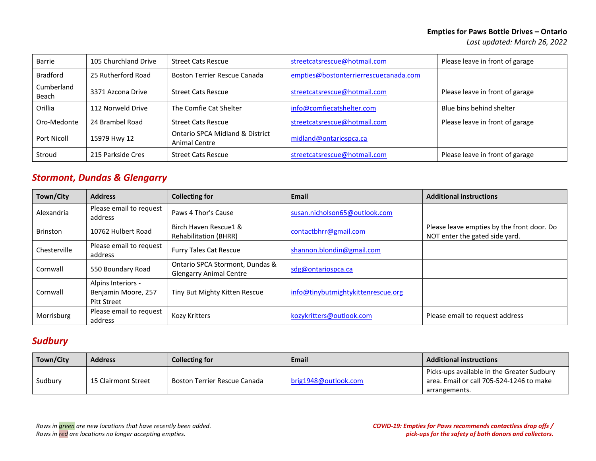| Barrie              | 105 Churchland Drive | <b>Street Cats Rescue</b>                                   | streetcatsrescue@hotmail.com          | Please leave in front of garage |
|---------------------|----------------------|-------------------------------------------------------------|---------------------------------------|---------------------------------|
| <b>Bradford</b>     | 25 Rutherford Road   | <b>Boston Terrier Rescue Canada</b>                         | empties@bostonterrierrescuecanada.com |                                 |
| Cumberland<br>Beach | 3371 Azcona Drive    | <b>Street Cats Rescue</b>                                   | streetcatsrescue@hotmail.com          | Please leave in front of garage |
| Orillia             | 112 Norweld Drive    | The Comfie Cat Shelter                                      | info@comfiecatshelter.com             | Blue bins behind shelter        |
| Oro-Medonte         | 24 Brambel Road      | <b>Street Cats Rescue</b>                                   | streetcatsrescue@hotmail.com          | Please leave in front of garage |
| Port Nicoll         | 15979 Hwy 12         | <b>Ontario SPCA Midland &amp; District</b><br>Animal Centre | midland@ontariospca.ca                |                                 |
| Stroud              | 215 Parkside Cres    | <b>Street Cats Rescue</b>                                   | streetcatsrescue@hotmail.com          | Please leave in front of garage |

### <span id="page-14-0"></span>*Stormont, Dundas & Glengarry*

| Town/City       | <b>Address</b>                                                  | <b>Collecting for</b>                                             | Email                              | <b>Additional instructions</b>                                               |
|-----------------|-----------------------------------------------------------------|-------------------------------------------------------------------|------------------------------------|------------------------------------------------------------------------------|
| Alexandria      | Please email to request<br>address                              | Paws 4 Thor's Cause                                               | susan.nicholson65@outlook.com      |                                                                              |
| <b>Brinston</b> | 10762 Hulbert Road                                              | Birch Haven Rescue1 &<br><b>Rehabilitation (BHRR)</b>             | contactbhrr@gmail.com              | Please leave empties by the front door. Do<br>NOT enter the gated side yard. |
| Chesterville    | Please email to request<br>address                              | <b>Furry Tales Cat Rescue</b>                                     | shannon.blondin@gmail.com          |                                                                              |
| Cornwall        | 550 Boundary Road                                               | Ontario SPCA Stormont, Dundas &<br><b>Glengarry Animal Centre</b> | sdg@ontariospca.ca                 |                                                                              |
| Cornwall        | Alpins Interiors -<br>Benjamin Moore, 257<br><b>Pitt Street</b> | Tiny But Mighty Kitten Rescue                                     | info@tinybutmightykittenrescue.org |                                                                              |
| Morrisburg      | Please email to request<br>address                              | <b>Kozy Kritters</b>                                              | kozykritters@outlook.com           | Please email to request address                                              |

## <span id="page-14-1"></span>*Sudbury*

| Town/City | <b>Address</b>      | <b>Collecting for</b>        | <b>Email</b>         | <b>Additional instructions</b>                                                                          |
|-----------|---------------------|------------------------------|----------------------|---------------------------------------------------------------------------------------------------------|
| Sudbury   | 15 Clairmont Street | Boston Terrier Rescue Canada | brig1948@outlook.com | Picks-ups available in the Greater Sudbury<br>area. Email or call 705-524-1246 to make<br>arrangements. |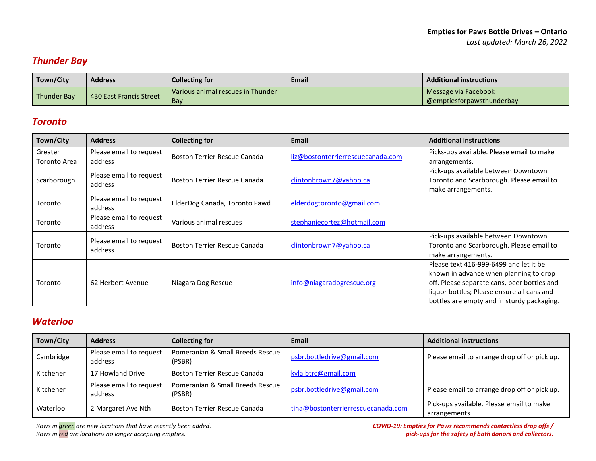## <span id="page-15-0"></span>*Thunder Bay*

| Town/City   | <b>Address</b>          | <b>Collecting for</b>             | Email | <b>Additional instructions</b> |
|-------------|-------------------------|-----------------------------------|-------|--------------------------------|
| Thunder Bay | 430 East Francis Street | Various animal rescues in Thunder |       | Message via Facebook           |
|             |                         | Bay                               |       | @emptiesforpawsthunderbay      |

### <span id="page-15-1"></span>*Toronto*

| Town/City               | <b>Address</b>                     | <b>Collecting for</b>               | Email                             | <b>Additional instructions</b>                                                                                                                                                                                              |
|-------------------------|------------------------------------|-------------------------------------|-----------------------------------|-----------------------------------------------------------------------------------------------------------------------------------------------------------------------------------------------------------------------------|
| Greater<br>Toronto Area | Please email to request<br>address | <b>Boston Terrier Rescue Canada</b> | liz@bostonterrierrescuecanada.com | Picks-ups available. Please email to make<br>arrangements.                                                                                                                                                                  |
| Scarborough             | Please email to request<br>address | Boston Terrier Rescue Canada        | clintonbrown7@yahoo.ca            | Pick-ups available between Downtown<br>Toronto and Scarborough. Please email to<br>make arrangements.                                                                                                                       |
| Toronto                 | Please email to request<br>address | ElderDog Canada, Toronto Pawd       | elderdogtoronto@gmail.com         |                                                                                                                                                                                                                             |
| Toronto                 | Please email to request<br>address | Various animal rescues              | stephaniecortez@hotmail.com       |                                                                                                                                                                                                                             |
| Toronto                 | Please email to request<br>address | Boston Terrier Rescue Canada        | clintonbrown7@yahoo.ca            | Pick-ups available between Downtown<br>Toronto and Scarborough. Please email to<br>make arrangements.                                                                                                                       |
| Toronto                 | 62 Herbert Avenue                  | Niagara Dog Rescue                  | info@niagaradogrescue.org         | Please text 416-999-6499 and let it be<br>known in advance when planning to drop<br>off. Please separate cans, beer bottles and<br>liquor bottles; Please ensure all cans and<br>bottles are empty and in sturdy packaging. |

### <span id="page-15-2"></span>*Waterloo*

| Town/City | <b>Address</b>                     | <b>Collecting for</b>                      | Email                              | <b>Additional instructions</b>                           |
|-----------|------------------------------------|--------------------------------------------|------------------------------------|----------------------------------------------------------|
| Cambridge | Please email to request<br>address | Pomeranian & Small Breeds Rescue<br>(PSBR) | psbr.bottledrive@gmail.com         | Please email to arrange drop off or pick up.             |
| Kitchener | 17 Howland Drive                   | <b>Boston Terrier Rescue Canada</b>        | kyla.btrc@gmail.com                |                                                          |
| Kitchener | Please email to request<br>address | Pomeranian & Small Breeds Rescue<br>(PSBR) | psbr.bottledrive@gmail.com         | Please email to arrange drop off or pick up.             |
| Waterloo  | 2 Margaret Ave Nth                 | <b>Boston Terrier Rescue Canada</b>        | tina@bostonterrierrescuecanada.com | Pick-ups available. Please email to make<br>arrangements |

*Rows in green are new locations that have recently been added. Rows in red are locations no longer accepting empties.*

*COVID-19: Empties for Paws recommends contactless drop offs / pick-ups for the safety of both donors and collectors.*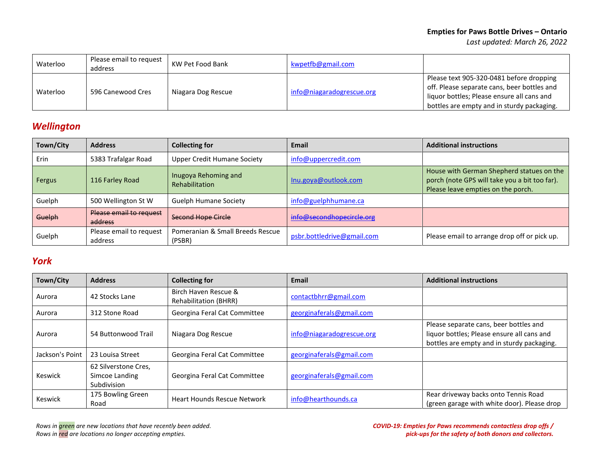| Waterloo | Please email to request<br>address | KW Pet Food Bank   | kwpetfb@gmail.com         |                                                                                                                                                                                     |
|----------|------------------------------------|--------------------|---------------------------|-------------------------------------------------------------------------------------------------------------------------------------------------------------------------------------|
| Waterloo | 596 Canewood Cres                  | Niagara Dog Rescue | info@niagaradogrescue.org | Please text 905-320-0481 before dropping<br>off. Please separate cans, beer bottles and<br>liquor bottles; Please ensure all cans and<br>bottles are empty and in sturdy packaging. |

# <span id="page-16-0"></span>*Wellington*

| Town/City | <b>Address</b>                     | <b>Collecting for</b>                         | Email                      | <b>Additional instructions</b>                                                                                                   |
|-----------|------------------------------------|-----------------------------------------------|----------------------------|----------------------------------------------------------------------------------------------------------------------------------|
| Erin      | 5383 Trafalgar Road                | <b>Upper Credit Humane Society</b>            | info@uppercredit.com       |                                                                                                                                  |
| Fergus    | 116 Farley Road                    | Inugoya Rehoming and<br><b>Rehabilitation</b> | Inu.goya@outlook.com       | House with German Shepherd statues on the<br>porch (note GPS will take you a bit too far).<br>Please leave empties on the porch. |
| Guelph    | 500 Wellington St W                | <b>Guelph Humane Society</b>                  | info@guelphhumane.ca       |                                                                                                                                  |
| Guelph    | Please email to request<br>address | Second Hope Circle                            | info@secondhopecircle.org  |                                                                                                                                  |
| Guelph    | Please email to request<br>address | Pomeranian & Small Breeds Rescue<br>(PSBR)    | psbr.bottledrive@gmail.com | Please email to arrange drop off or pick up.                                                                                     |

## <span id="page-16-1"></span>*York*

| Town/City       | <b>Address</b>                                        | <b>Collecting for</b>                                | Email                     | <b>Additional instructions</b>                                                                                                     |
|-----------------|-------------------------------------------------------|------------------------------------------------------|---------------------------|------------------------------------------------------------------------------------------------------------------------------------|
| Aurora          | 42 Stocks Lane                                        | Birch Haven Rescue &<br><b>Rehabilitation (BHRR)</b> | contactbhrr@gmail.com     |                                                                                                                                    |
| Aurora          | 312 Stone Road                                        | Georgina Feral Cat Committee                         | georginaferals@gmail.com  |                                                                                                                                    |
| Aurora          | 54 Buttonwood Trail                                   | Niagara Dog Rescue                                   | info@niagaradogrescue.org | Please separate cans, beer bottles and<br>liquor bottles; Please ensure all cans and<br>bottles are empty and in sturdy packaging. |
| Jackson's Point | 23 Louisa Street                                      | Georgina Feral Cat Committee                         | georginaferals@gmail.com  |                                                                                                                                    |
| Keswick         | 62 Silverstone Cres,<br>Simcoe Landing<br>Subdivision | Georgina Feral Cat Committee                         | georginaferals@gmail.com  |                                                                                                                                    |
| Keswick         | 175 Bowling Green<br>Road                             | <b>Heart Hounds Rescue Network</b>                   | info@hearthounds.ca       | Rear driveway backs onto Tennis Road<br>(green garage with white door). Please drop                                                |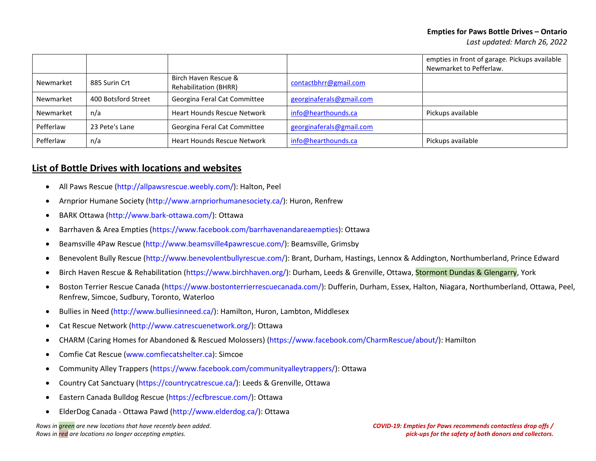|           |                     |                                                      |                          | empties in front of garage. Pickups available<br>Newmarket to Pefferlaw. |
|-----------|---------------------|------------------------------------------------------|--------------------------|--------------------------------------------------------------------------|
| Newmarket | 885 Surin Crt       | Birch Haven Rescue &<br><b>Rehabilitation (BHRR)</b> | contactbhrr@gmail.com    |                                                                          |
| Newmarket | 400 Botsford Street | Georgina Feral Cat Committee                         | georginaferals@gmail.com |                                                                          |
| Newmarket | n/a                 | <b>Heart Hounds Rescue Network</b>                   | info@hearthounds.ca      | Pickups available                                                        |
| Pefferlaw | 23 Pete's Lane      | Georgina Feral Cat Committee                         | georginaferals@gmail.com |                                                                          |
| Pefferlaw | n/a                 | <b>Heart Hounds Rescue Network</b>                   | info@hearthounds.ca      | Pickups available                                                        |

### **List of Bottle Drives with locations and websites**

- All Paws Rescue [\(http://allpawsrescue.weebly.com/\)](http://allpawsrescue.weebly.com/): Halton, Peel
- Arnprior Humane Society [\(http://www.arnpriorhumanesociety.ca/\)](http://www.arnpriorhumanesociety.ca/): Huron, Renfrew
- BARK Ottawa [\(http://www.bark-ottawa.com/\)](http://www.bark-ottawa.com/): Ottawa
- Barrhaven & Area Empties [\(https://www.facebook.com/barrhavenandareaempties\)](https://www.facebook.com/barrhavenandareaempties): Ottawa
- Beamsville 4Paw Rescue [\(http://www.beamsville4pawrescue.com/\)](http://www.beamsville4pawrescue.com/): Beamsville, Grimsby
- . Benevolent Bully Rescue [\(http://www.benevolentbullyrescue.com/\)](http://www.benevolentbullyrescue.com/): Brant, Durham, Hastings, Lennox & Addington, Northumberland, Prince Edward
- Birch Haven Rescue & Rehabilitation [\(https://www.birchhaven.org/\)](https://www.birchhaven.org/): Durham, Leeds & Grenville, Ottawa, Stormont Dundas & Glengarry, York
- Boston Terrier Rescue Canada [\(https://www.bostonterrierrescuecanada.com/\)](https://www.bostonterrierrescuecanada.com/): Dufferin, Durham, Essex, Halton, Niagara, Northumberland, Ottawa, Peel, Renfrew, Simcoe, Sudbury, Toronto, Waterloo
- Bullies in Need [\(http://www.bulliesinneed.ca/\)](http://www.bulliesinneed.ca/): Hamilton, Huron, Lambton, Middlesex
- Cat Rescue Network [\(http://www.catrescuenetwork.org/\)](http://www.catrescuenetwork.org/): Ottawa
- CHARM (Caring Homes for Abandoned & Rescued Molossers) [\(https://www.facebook.com/CharmRescue/about/\)](https://www.facebook.com/CharmRescue/about/): Hamilton
- Comfie Cat Rescue [\(www.comfiecatshelter.ca\)](http://www.comfiecatshelter.ca/): Simcoe
- Community Alley Trappers [\(https://www.facebook.com/communityalleytrappers/\)](https://www.facebook.com/communityalleytrappers/): Ottawa
- Country Cat Sanctuary [\(https://countrycatrescue.ca/\)](https://countrycatrescue.ca/): Leeds & Grenville, Ottawa
- Eastern Canada Bulldog Rescue [\(https://ecfbrescue.com/\)](https://ecfbrescue.com/): Ottawa
- ElderDog Canada Ottawa Pawd [\(http://www.elderdog.ca/\)](http://www.elderdog.ca/): Ottawa

*Rows in green are new locations that have recently been added. Rows in red are locations no longer accepting empties.*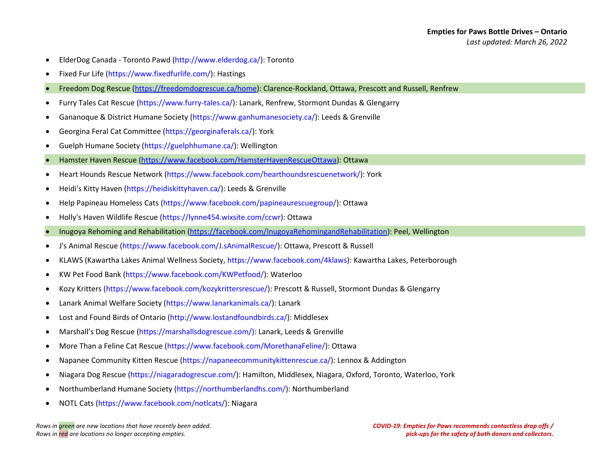- ElderDog Canada Toronto Pawd [\(http://www.elderdog.ca/\)](http://www.elderdog.ca/): Toronto
- Fixed Fur Life [\(https://www.fixedfurlife.com/\)](https://www.fixedfurlife.com/): Hastings
- Freedom Dog Rescue [\(https://freedomdogrescue.ca/home\)](https://freedomdogrescue.ca/home): Clarence-Rockland, Ottawa, Prescott and Russell, Renfrew
- Furry Tales Cat Rescue [\(https://www.furry-tales.ca/\)](https://www.furry-tales.ca/): Lanark, Renfrew, Stormont Dundas & Glengarry
- Gananoque & District Humane Society [\(https://www.ganhumanesociety.ca/\)](https://www.ganhumanesociety.ca/): Leeds & Grenville
- Georgina Feral Cat Committee [\(https://georginaferals.ca/\)](https://georginaferals.ca/): York
- Guelph Humane Society [\(https://guelphhumane.ca/\)](https://guelphhumane.ca/): Wellington
- Hamster Haven Rescue [\(https://www.facebook.com/HamsterHavenRescueOttawa\)](https://www.facebook.com/HamsterHavenRescueOttawa): Ottawa
- Heart Hounds Rescue Network [\(https://www.facebook.com/hearthoundsrescuenetwork/\)](https://www.facebook.com/hearthoundsrescuenetwork/): York
- Heidi's Kitty Haven [\(https://heidiskittyhaven.ca/\)](https://heidiskittyhaven.ca/): Leeds & Grenville
- Help Papineau Homeless Cats [\(https://www.facebook.com/papineaurescuegroup/\)](https://www.facebook.com/papineaurescuegroup/): Ottawa
- Holly's Haven Wildlife Rescue [\(https://lynne454.wixsite.com/ccwr\)](https://lynne454.wixsite.com/ccwr): Ottawa
- Inugoya Rehoming and Rehabilitation [\(https://facebook.com/InugoyaRehomingandRehabilitation\)](https://facebook.com/InugoyaRehomingandRehabilitation): Peel, Wellington
- J's Animal Rescue [\(https://www.facebook.com/J.sAnimalRescue/\)](https://www.facebook.com/J.sAnimalRescue/): Ottawa, Prescott & Russell
- KLAWS (Kawartha Lakes Animal Wellness Society, [https://www.facebook.com/4klaws\)](https://www.facebook.com/4klaws): Kawartha Lakes, Peterborough
- KW Pet Food Bank [\(https://www.facebook.com/KWPetfood/\)](https://www.facebook.com/KWPetfood/): Waterloo
- Kozy Kritters [\(https://www.facebook.com/kozykrittersrescue/\)](https://www.facebook.com/kozykrittersrescue/): Prescott & Russell, Stormont Dundas & Glengarry
- Lanark Animal Welfare Society [\(https://www.lanarkanimals.ca/\)](https://www.lanarkanimals.ca/): Lanark
- Lost and Found Birds of Ontario [\(http://www.lostandfoundbirds.ca/\)](http://www.lostandfoundbirds.ca/): Middlesex
- Marshall's Dog Rescue [\(https://marshallsdogrescue.com/\):](https://marshallsdogrescue.com/)) Lanark, Leeds & Grenville
- More Than a Feline Cat Rescue [\(https://www.facebook.com/MorethanaFeline/\)](https://www.facebook.com/MorethanaFeline/): Ottawa
- Napanee Community Kitten Rescue [\(https://napaneecommunitykittenrescue.ca/\)](https://napaneecommunitykittenrescue.ca/): Lennox & Addington
- Niagara Dog Rescue [\(https://niagaradogrescue.com/\)](https://niagaradogrescue.com/): Hamilton, Middlesex, Niagara, Oxford, Toronto, Waterloo, York
- Northumberland Humane Society [\(https://northumberlandhs.com/\)](https://northumberlandhs.com/): Northumberland
- NOTL Cats [\(https://www.facebook.com/notlcats/\)](https://www.facebook.com/notlcats/): Niagara